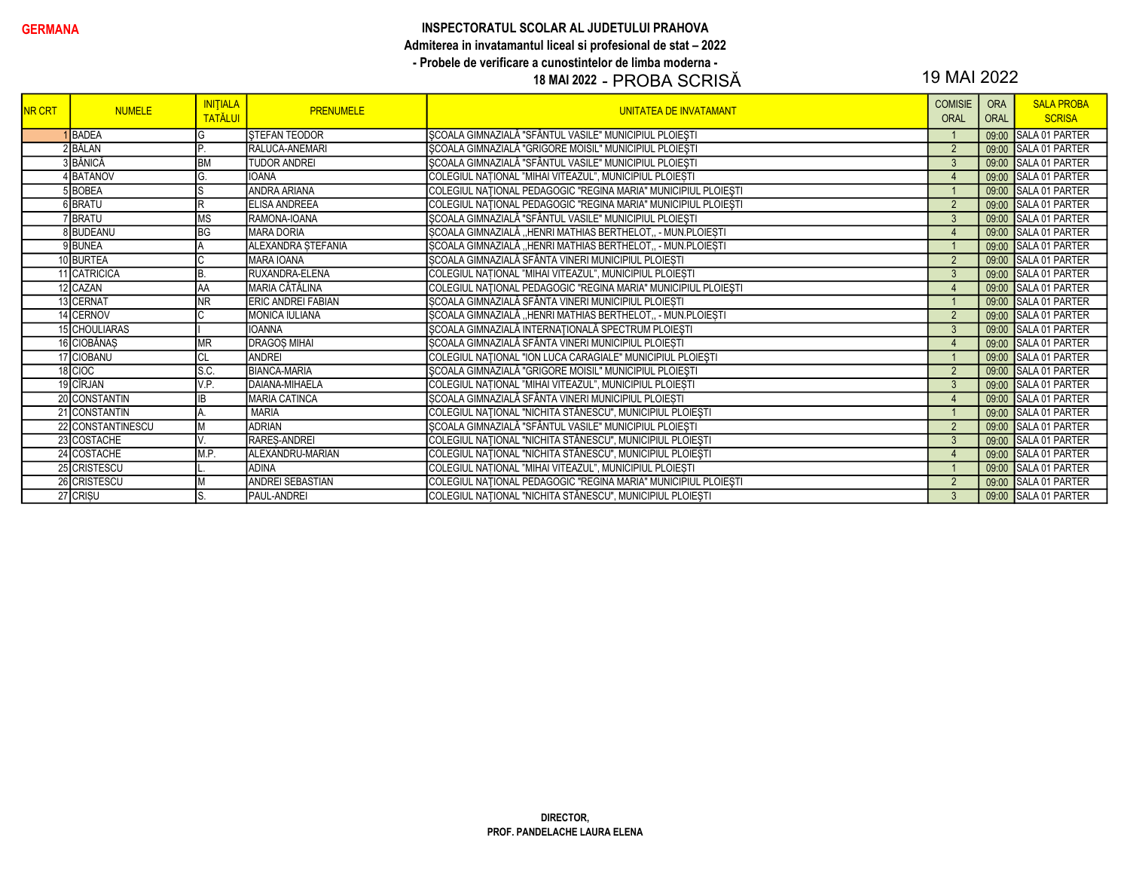### INSPECTORATUL SCOLAR AL JUDETULUI PRAHOVA Admiterea in invatamantul liceal si profesional de stat - 2022 - Probele de verificare a cunostintelor de limba moderna -

# 18 MAI 2022 - PROBA SCRISĂ

# 19 MAI 2022

| <b>NR CRT</b> | <b>NUMELE</b>     | <b>INITIALA</b><br><b>TATĂLUI</b> | <b>PRENUMELE</b>          | UNITATEA DE INVATAMANT                                         | <b>COMISIE</b><br>ORAL | <b>ORA</b><br><b>ORAL</b> | <b>SALA PROBA</b><br><b>SCRISA</b> |
|---------------|-------------------|-----------------------------------|---------------------------|----------------------------------------------------------------|------------------------|---------------------------|------------------------------------|
|               | 1BADEA            | G                                 | <b>STEFAN TEODOR</b>      | ȘCOALA GIMNAZIALĂ "SFÂNTUL VASILE" MUNICIPIUL PLOIEȘTI         |                        |                           | 09:00 SALA 01 PARTER               |
|               | 2BĂLAN            | Þ                                 | RALUCA-ANEMARI            | ȘCOALA GIMNAZIALĂ "GRIGORE MOISIL" MUNICIPIUL PLOIEȘTI         | $\overline{2}$         |                           | 09:00 SALA 01 PARTER               |
|               | 3 BĂNICĂ          | <b>BM</b>                         | <b>TUDOR ANDREI</b>       | ȘCOALA GIMNAZIALĂ "SFÂNTUL VASILE" MUNICIPIUL PLOIEȘTI         | $\mathbf{3}$           |                           | 09:00 SALA 01 PARTER               |
|               | 4 BATANOV         |                                   | <b>IOANA</b>              | COLEGIUL NATIONAL "MIHAI VITEAZUL", MUNICIPIUL PLOIEȘTI        | $\overline{4}$         |                           | 09:00 SALA 01 PARTER               |
|               | 5BOBEA            | lS                                | <b>ANDRA ARIANA</b>       | COLEGIUL NAȚIONAL PEDAGOGIC "REGINA MARIA" MUNICIPIUL PLOIEȘTI |                        |                           | 09:00 SALA 01 PARTER               |
|               | 6 BRATU           | lR                                | <b>ELISA ANDREEA</b>      | COLEGIUL NAȚIONAL PEDAGOGIC "REGINA MARIA" MUNICIPIUL PLOIEȘTI | $\overline{2}$         |                           | 09:00 SALA 01 PARTER               |
|               | <b>IBRATU</b>     | <b>MS</b>                         | RAMONA-IOANA              | ŞCOALA GIMNAZIALĂ "SFÂNTUL VASILE" MUNICIPIUL PLOIEȘTI         | $\mathbf{3}$           |                           | 09:00 SALA 01 PARTER               |
|               | 8BUDEANU          | BG                                | <b>MARA DORIA</b>         | ȘCOALA GIMNAZIALĂ "HENRI MATHIAS BERTHELOT,, - MUN.PLOIEȘTI    | $\overline{4}$         |                           | 09:00 SALA 01 PARTER               |
|               | 9BUNEA            |                                   | ALEXANDRA ȘTEFANIA        | ȘCOALA GIMNAZIALĂ "HENRI MATHIAS BERTHELOT,, - MUN.PLOIEȘTI    |                        |                           | 09:00 SALA 01 PARTER               |
|               | 10 BURTEA         |                                   | <b>MARA IOANA</b>         | ȘCOALA GIMNAZIALĂ SFÂNTA VINERI MUNICIPIUL PLOIEȘTI            | $\overline{2}$         |                           | 09:00 SALA 01 PARTER               |
|               | 11 CATRICICA      | IB.                               | RUXANDRA-ELENA            | COLEGIUL NAȚIONAL "MIHAI VITEAZUL", MUNICIPIUL PLOIEȘTI        | $\mathbf{3}$           |                           | 09:00 SALA 01 PARTER               |
|               | 12 CAZAN          | <b>AA</b>                         | MARIA CĂTĂLINA            | COLEGIUL NAȚIONAL PEDAGOGIC "REGINA MARIA" MUNICIPIUL PLOIEȘTI | $\overline{4}$         |                           | 09:00 SALA 01 PARTER               |
|               | 13 CERNAT         | <b>NR</b>                         | <b>ERIC ANDREI FABIAN</b> | ȘCOALA GIMNAZIALĂ SFÂNTA VINERI MUNICIPIUL PLOIEȘTI            |                        |                           | 09:00 SALA 01 PARTER               |
|               | 14 CERNOV         |                                   | <b>MONICA IULIANA</b>     | ȘCOALA GIMNAZIALĂ "HENRI MATHIAS BERTHELOT,, - MUN.PLOIEȘTI    | 2                      |                           | 09:00 SALA 01 PARTER               |
|               | 15 CHOULIARAS     |                                   | <b>IOANNA</b>             | ȘCOALA GIMNAZIALĂ INTERNAȚIONALĂ SPECTRUM PLOIEȘTI             | $\mathbf{3}$           |                           | 09:00 SALA 01 PARTER               |
|               | 16 CIOBĂNAȘ       | <b>MR</b>                         | <b>DRAGOS MIHAI</b>       | ȘCOALA GIMNAZIALĂ SFÂNTA VINERI MUNICIPIUL PLOIEȘTI            | $\overline{4}$         |                           | 09:00 SALA 01 PARTER               |
|               | 17 CIOBANU        | CL                                | ANDREI                    | COLEGIUL NAȚIONAL "ION LUCA CARAGIALE" MUNICIPIUL PLOIEȘTI     |                        |                           | 09:00 SALA 01 PARTER               |
|               | 18 CIOC           | Is.c.                             | <b>BIANCA-MARIA</b>       | ȘCOALA GIMNAZIALĂ "GRIGORE MOISIL" MUNICIPIUL PLOIEȘTI         | $\overline{2}$         |                           | 09:00 SALA 01 PARTER               |
|               | 19 CÎRJAN         | V.P.                              | DAIANA-MIHAELA            | COLEGIUL NAȚIONAL "MIHAI VITEAZUL", MUNICIPIUL PLOIEȘTI        | 3                      |                           | 09:00 SALA 01 PARTER               |
|               | 20 CONSTANTIN     |                                   | <b>MARIA CATINCA</b>      | ȘCOALA GIMNAZIALĂ SFÂNTA VINERI MUNICIPIUL PLOIEȘTI            | $\overline{4}$         |                           | 09:00 SALA 01 PARTER               |
|               | 21 CONSTANTIN     |                                   | <b>MARIA</b>              | COLEGIUL NAȚIONAL "NICHITA STĂNESCU", MUNICIPIUL PLOIEȘTI      |                        |                           | 09:00 SALA 01 PARTER               |
|               | 22 CONSTANTINESCU |                                   | <b>ADRIAN</b>             | ŞCOALA GIMNAZIALĂ "SFÂNTUL VASILE" MUNICIPIUL PLOIEȘTI         | 2                      |                           | 09:00 SALA 01 PARTER               |
|               | 23 COSTACHE       |                                   | RARES-ANDREI              | COLEGIUL NAȚIONAL "NICHITA STĂNESCU", MUNICIPIUL PLOIEȘTI      | 3                      |                           | 09:00 SALA 01 PARTER               |
|               | 24 COSTACHE       | M.P.                              | ALEXANDRU-MARIAN          | COLEGIUL NAȚIONAL "NICHITA STĂNESCU", MUNICIPIUL PLOIEȘTI      | $\overline{4}$         |                           | 09:00 SALA 01 PARTER               |
|               | 25 CRISTESCU      |                                   | <b>ADINA</b>              | COLEGIUL NAȚIONAL "MIHAI VITEAZUL", MUNICIPIUL PLOIEȘTI        |                        |                           | 09:00 SALA 01 PARTER               |
|               | 26 CRISTESCU      |                                   | <b>ANDREI SEBASTIAN</b>   | COLEGIUL NAȚIONAL PEDAGOGIC "REGINA MARIA" MUNICIPIUL PLOIEȘTI | $\overline{2}$         |                           | 09:00 SALA 01 PARTER               |
|               | 27 CRIȘU          |                                   | <b>PAUL-ANDREI</b>        | COLEGIUL NAȚIONAL "NICHITA STĂNESCU", MUNICIPIUL PLOIEȘTI      | $\mathbf{3}$           |                           | 09:00 SALA 01 PARTER               |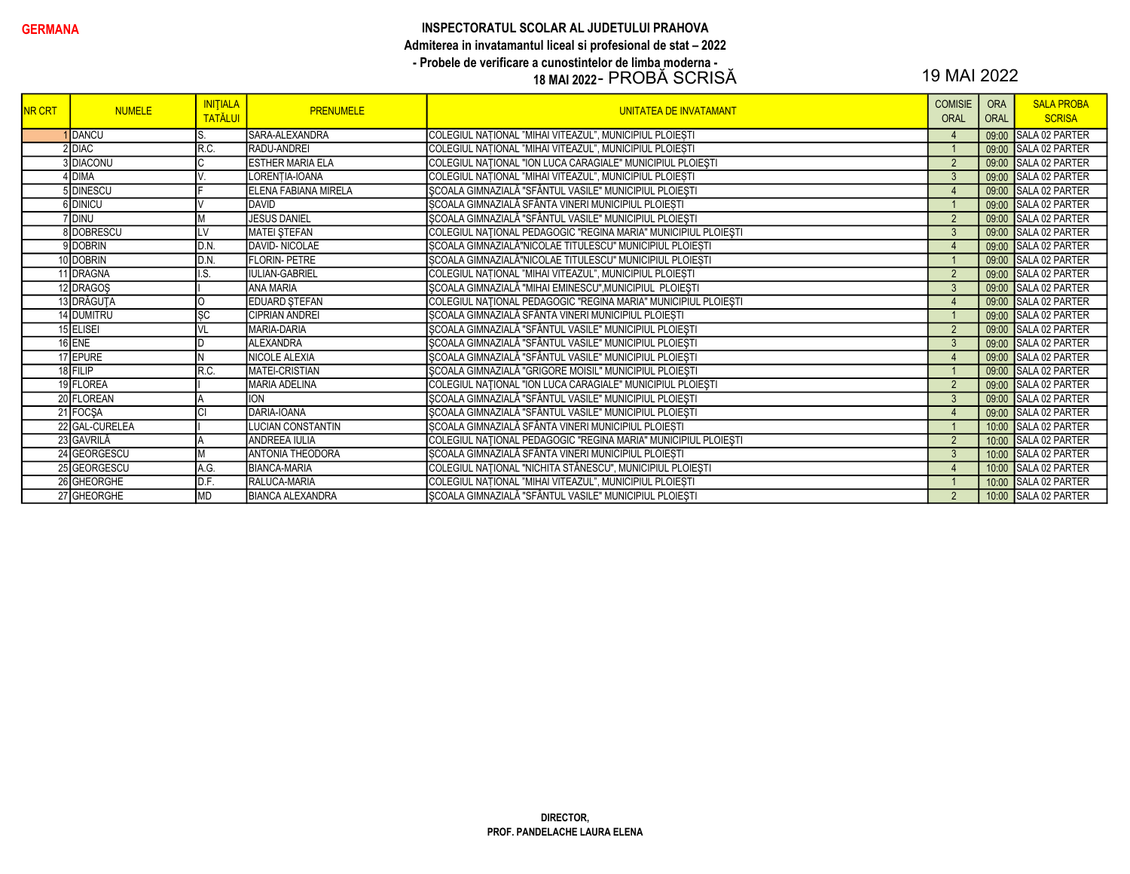#### GERMANA GERMANA INSPECTORATUL SCOLAR AL JUDETULUI PRAHOVA Admiterea in invatamantul liceal si profesional de stat – 2022 - Probele de verificare a cunostintelor de limba moderna - 18 MAI 2022 - PROBĂ SCRISĂ 19 MAI 2022

| <b>NR CRT</b> | <b>NUMELE</b>  | <b>INITIALA</b><br><b>TATĂLUI</b> | <b>PRENUMELE</b>             | <b>UNITATEA DE INVATAMANT</b>                                  | <b>COMISIE</b><br>ORAL | <b>ORA</b><br><b>ORAL</b> | <b>SALA PROBA</b><br><b>SCRISA</b> |
|---------------|----------------|-----------------------------------|------------------------------|----------------------------------------------------------------|------------------------|---------------------------|------------------------------------|
|               | <b>I</b> DANCU | S                                 | <b>SARA-ALEXANDRA</b>        | COLEGIUL NATIONAL "MIHAI VITEAZUL", MUNICIPIUL PLOIEȘTI        | $\overline{4}$         |                           | 09:00 SALA 02 PARTER               |
|               | 2 DIAC         | R.C.                              | RADU-ANDREI                  | COLEGIUL NATIONAL "MIHAI VITEAZUL", MUNICIPIUL PLOIEȘTI        |                        |                           | 09:00 SALA 02 PARTER               |
|               | 3 DIACONU      | C                                 | <b>ESTHER MARIA ELA</b>      | COLEGIUL NAȚIONAL "ION LUCA CARAGIALE" MUNICIPIUL PLOIEȘTI     | $\overline{2}$         |                           | 09:00 SALA 02 PARTER               |
|               | 1DIMA          | V                                 | LORENTIA-IOANA               | COLEGIUL NAȚIONAL "MIHAI VITEAZUL", MUNICIPIUL PLOIEȘTI        | $\mathbf{3}$           |                           | 09:00 SALA 02 PARTER               |
|               | 5 DINESCU      |                                   | <b>IELENA FABIANA MIRELA</b> | SCOALA GIMNAZIALĂ "SFÂNTUL VASILE" MUNICIPIUL PLOIEȘTI         | $\overline{4}$         |                           | 09:00 SALA 02 PARTER               |
|               | <b>DINICU</b>  | $\mathcal{L}$                     | DAVID                        | ȘCOALA GIMNAZIALĂ SFÂNTA VINERI MUNICIPIUL PLOIEȘTI            |                        |                           | 09:00 SALA 02 PARTER               |
|               | 'IDINU         | <b>M</b>                          | <b>JESUS DANIEL</b>          | ȘCOALA GIMNAZIALĂ "SFÂNTUL VASILE" MUNICIPIUL PLOIEȘTI         | $\overline{2}$         |                           | 09:00 SALA 02 PARTER               |
|               | 8 DOBRESCU     | LV                                | <b>MATEI STEFAN</b>          | COLEGIUL NATIONAL PEDAGOGIC "REGINA MARIA" MUNICIPIUL PLOIEȘTI | $\mathbf{3}$           |                           | 09:00 SALA 02 PARTER               |
|               | 9 DOBRIN       | D.N.                              | DAVID-NICOLAE                | ȘCOALA GIMNAZIALĂ"NICOLAE TITULESCU" MUNICIPIUL PLOIEȘTI       | $\overline{4}$         |                           | 09:00 SALA 02 PARTER               |
|               | 10 DOBRIN      | D.N.                              | <b>FLORIN-PETRE</b>          | ȘCOALA GIMNAZIALĂ"NICOLAE TITULESCU" MUNICIPIUL PLOIEȘTI       |                        |                           | 09:00 SALA 02 PARTER               |
|               | 11 DRAGNA      | I.S.                              | <b>IULIAN-GABRIEL</b>        | COLEGIUL NAȚIONAL "MIHAI VITEAZUL", MUNICIPIUL PLOIEȘTI        | $\overline{2}$         |                           | 09:00 SALA 02 PARTER               |
|               | 12 DRAGOS      |                                   | <b>ANA MARIA</b>             | ȘCOALA GIMNAZIALĂ "MIHAI EMINESCU", MUNICIPIUL PLOIEȘTI        | $\mathbf{3}$           |                           | 09:00 SALA 02 PARTER               |
|               | 13 DRĂGUȚA     | lo                                | <b>EDUARD STEFAN</b>         | COLEGIUL NAȚIONAL PEDAGOGIC "REGINA MARIA" MUNICIPIUL PLOIEȘTI | $\overline{4}$         |                           | 09:00 SALA 02 PARTER               |
|               | 14 DUMITRU     | <b>SC</b>                         | <b>CIPRIAN ANDREI</b>        | ȘCOALA GIMNAZIALĂ SFÂNTA VINERI MUNICIPIUL PLOIEȘTI            |                        |                           | 09:00 SALA 02 PARTER               |
|               | 15 ELISEI      | <b>VL</b>                         | MARIA-DARIA                  | ȘCOALA GIMNAZIALĂ "SFÂNTUL VASILE" MUNICIPIUL PLOIEȘTI         | $\overline{2}$         |                           | 09:00 SALA 02 PARTER               |
|               | $16$ ENE       | ID                                | <b>ALEXANDRA</b>             | ȘCOALA GIMNAZIALĂ "SFÂNTUL VASILE" MUNICIPIUL PLOIEȘTI         | $\mathbf{3}$           |                           | 09:00 SALA 02 PARTER               |
|               | 17 EPURE       | IN.                               | NICOLE ALEXIA                | SCOALA GIMNAZIALĂ "SFÂNTUL VASILE" MUNICIPIUL PLOIEȘTI         | $\overline{4}$         |                           | 09:00 SALA 02 PARTER               |
|               | 18 FILIP       | R.C.                              | <b>MATEI-CRISTIAN</b>        | ȘCOALA GIMNAZIALĂ "GRIGORE MOISIL" MUNICIPIUL PLOIEȘTI         |                        |                           | 09:00 SALA 02 PARTER               |
|               | 19 FLOREA      |                                   | <b>MARIA ADELINA</b>         | COLEGIUL NAȚIONAL "ION LUCA CARAGIALE" MUNICIPIUL PLOIEȘTI     | $\overline{2}$         |                           | 09:00 SALA 02 PARTER               |
|               | 20 FLOREAN     |                                   | <b>ION</b>                   | ȘCOALA GIMNAZIALĂ "SFÂNTUL VASILE" MUNICIPIUL PLOIEȘTI         | $\mathbf{3}$           |                           | 09:00 SALA 02 PARTER               |
|               | 21 FOCSA       | lcı                               | DARIA-IOANA                  | ȘCOALA GIMNAZIALĂ "SFÂNTUL VASILE" MUNICIPIUL PLOIEȘTI         | $\overline{4}$         |                           | 09:00 SALA 02 PARTER               |
|               | 22 GAL-CURELEA |                                   | <b>LUCIAN CONSTANTIN</b>     | SCOALA GIMNAZIALĂ SFÂNTA VINERI MUNICIPIUL PLOIEȘTI            |                        |                           | 10:00 SALA 02 PARTER               |
|               | 23 GAVRILĂ     |                                   | <b>ANDREEA IULIA</b>         | COLEGIUL NAȚIONAL PEDAGOGIC "REGINA MARIA" MUNICIPIUL PLOIEȘTI | $\overline{2}$         |                           | 10:00 SALA 02 PARTER               |
|               | 24 GEORGESCU   | <b>M</b>                          | <b>ANTONIA THEODORA</b>      | ȘCOALA GIMNAZIALĂ SFÂNTA VINERI MUNICIPIUL PLOIEȘTI            | $\mathbf{3}$           |                           | 10:00 SALA 02 PARTER               |
|               | 25 GEORGESCU   | A.G.                              | <b>BIANCA-MARIA</b>          | COLEGIUL NAȚIONAL "NICHITA STĂNESCU", MUNICIPIUL PLOIEȘTI      | $\overline{4}$         |                           | 10:00 SALA 02 PARTER               |
|               | 26 GHEORGHE    | D.F.                              | RALUCA-MARIA                 | COLEGIUL NAȚIONAL "MIHAI VITEAZUL", MUNICIPIUL PLOIEȘTI        |                        |                           | 10:00 SALA 02 PARTER               |
|               | 27 GHEORGHE    | <b>MD</b>                         | <b>BIANCA ALEXANDRA</b>      | ȘCOALA GIMNAZIALĂ "SFÂNTUL VASILE" MUNICIPIUL PLOIEȘTI         | $\overline{2}$         |                           | 10:00 SALA 02 PARTER               |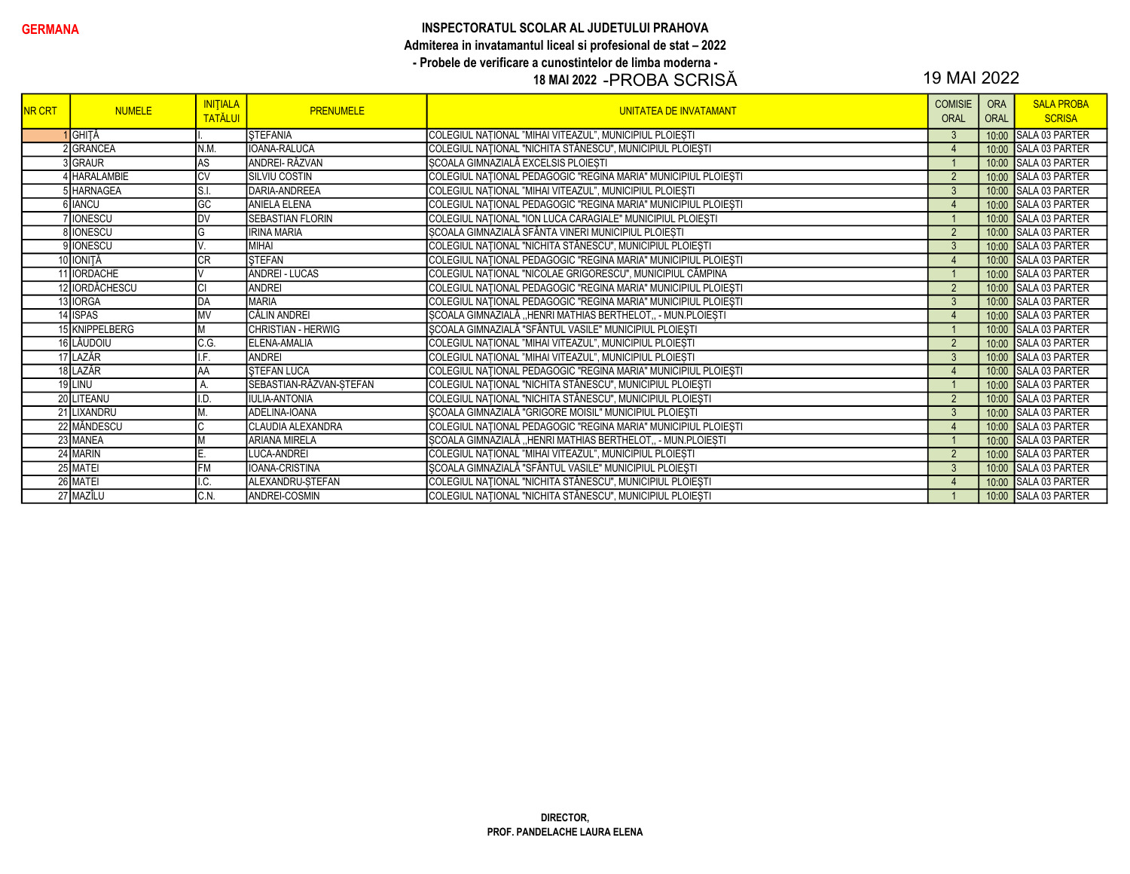#### GERMANA GERMANA INSPECTORATUL SCOLAR AL JUDETULUI PRAHOVA Admiterea in invatamantul liceal si profesional de stat – 2022 - Probele de verificare a cunostintelor de limba moderna -

## 18 MAI 2022 -PROBA SCRISĂ 19 MAI 2022

| <b>NR CRT</b> | <b>NUMELE</b>      | <b>INITIALA</b><br><b>TATĂLUI</b> | <b>PRENUMELE</b>        | UNITATEA DE INVATAMANT                                         | <b>COMISIE</b><br><b>ORAL</b> | <b>ORA</b><br>ORAL | <b>SALA PROBA</b><br><b>SCRISA</b> |
|---------------|--------------------|-----------------------------------|-------------------------|----------------------------------------------------------------|-------------------------------|--------------------|------------------------------------|
|               | <b>I</b> GHITĂ     |                                   | <b>STEFANIA</b>         | COLEGIUL NATIONAL "MIHAI VITEAZUL", MUNICIPIUL PLOIEȘTI        | $\mathbf{3}$                  | 10:00              | <b>SALA 03 PARTER</b>              |
|               | <b>GRANCEA</b>     | N.M.                              | <b>IOANA-RALUCA</b>     | COLEGIUL NAȚIONAL "NICHITA STĂNESCU", MUNICIPIUL PLOIEȘTI      | $\overline{4}$                |                    | 10:00 SALA 03 PARTER               |
|               | 3 GRAUR            | AS                                | <b>ANDREI- RĂZVAN</b>   | SCOALA GIMNAZIALĂ EXCELSIS PLOIEȘTI                            |                               |                    | 10:00 SALA 03 PARTER               |
|               | <b>IHARALAMBIE</b> | <b>CV</b>                         | <b>SILVIU COSTIN</b>    | COLEGIUL NAȚIONAL PEDAGOGIC "REGINA MARIA" MUNICIPIUL PLOIEȘTI | $\overline{2}$                |                    | 10:00 SALA 03 PARTER               |
|               | 5 HARNAGEA         | S.l                               | DARIA-ANDREEA           | COLEGIUL NAȚIONAL "MIHAI VITEAZUL", MUNICIPIUL PLOIEȘTI        | $\mathbf{3}$                  |                    | 10:00 SALA 03 PARTER               |
|               | 6 IANCU            | GC                                | <b>ANIELA ELENA</b>     | COLEGIUL NAȚIONAL PEDAGOGIC "REGINA MARIA" MUNICIPIUL PLOIEȘTI | $\overline{4}$                |                    | 10:00 SALA 03 PARTER               |
|               | <b>IONESCU</b>     | <b>DV</b>                         | <b>SEBASTIAN FLORIN</b> | COLEGIUL NAȚIONAL "ION LUCA CARAGIALE" MUNICIPIUL PLOIEȘTI     |                               |                    | 10:00 SALA 03 PARTER               |
|               | 8 IONESCU          | G                                 | <b>IRINA MARIA</b>      | ȘCOALA GIMNAZIALĂ SFÂNTA VINERI MUNICIPIUL PLOIEȘTI            | $\overline{2}$                |                    | 10:00 SALA 03 PARTER               |
|               | 9 IONESCU          |                                   | MIHAI                   | COLEGIUL NAȚIONAL "NICHITA STĂNESCU", MUNICIPIUL PLOIEȘTI      | $\mathbf{3}$                  |                    | 10:00 SALA 03 PARTER               |
|               | 10 IONITĂ          | <b>CR</b>                         | <b>STEFAN</b>           | COLEGIUL NATIONAL PEDAGOGIC "REGINA MARIA" MUNICIPIUL PLOIEȘTI | $\overline{4}$                |                    | 10:00 SALA 03 PARTER               |
|               | 11 <b>IORDACHE</b> |                                   | <b>ANDREI - LUCAS</b>   | COLEGIUL NAȚIONAL "NICOLAE GRIGORESCU", MUNICIPIUL CÂMPINA     |                               |                    | 10:00 SALA 03 PARTER               |
|               | 12 IORDĂCHESCU     | <b>CI</b>                         | ANDREI                  | COLEGIUL NATIONAL PEDAGOGIC "REGINA MARIA" MUNICIPIUL PLOIEȘTI | $\overline{2}$                |                    | 10:00 SALA 03 PARTER               |
|               | 13 IORGA           | DA                                | MARIA                   | COLEGIUL NAȚIONAL PEDAGOGIC "REGINA MARIA" MUNICIPIUL PLOIEȘTI | $\mathbf{3}$                  |                    | 10:00 SALA 03 PARTER               |
|               | 14 ISPAS           | <b>MV</b>                         | <b>CĂLIN ANDREI</b>     | SCOALA GIMNAZIALĂ "HENRI MATHIAS BERTHELOT, - MUN.PLOIESTI     | $\overline{4}$                |                    | 10:00 SALA 03 PARTER               |
|               | 15 KNIPPELBERG     |                                   | CHRISTIAN - HERWIG      | SCOALA GIMNAZIALĂ "SFÂNTUL VASILE" MUNICIPIUL PLOIEȘTI         |                               |                    | 10:00 SALA 03 PARTER               |
|               | 16 LĂUDOIU         | C.G.                              | ELENA-AMALIA            | COLEGIUL NAȚIONAL "MIHAI VITEAZUL", MUNICIPIUL PLOIEȘTI        | 2                             |                    | 10:00 SALA 03 PARTER               |
|               | 17 LAZĂR           | LE.                               | <b>ANDREI</b>           | COLEGIUL NATIONAL "MIHAI VITEAZUL", MUNICIPIUL PLOIESTI        | $\mathbf{3}$                  |                    | 10:00 SALA 03 PARTER               |
|               | 18 LAZĂR           | AA                                | <b>STEFAN LUCA</b>      | COLEGIUL NAȚIONAL PEDAGOGIC "REGINA MARIA" MUNICIPIUL PLOIEȘTI | $\overline{4}$                |                    | 10:00 SALA 03 PARTER               |
|               | 19 LINU            | A                                 | SEBASTIAN-RĂZVAN-ȘTEFAN | COLEGIUL NAȚIONAL "NICHITA STĂNESCU", MUNICIPIUL PLOIEȘTI      |                               |                    | 10:00 SALA 03 PARTER               |
|               | 20 LITEANU         | I.D                               | <b>IULIA-ANTONIA</b>    | COLEGIUL NAȚIONAL "NICHITA STĂNESCU", MUNICIPIUL PLOIEȘTI      | $\overline{2}$                |                    | 10:00 SALA 03 PARTER               |
|               | 21 LIXANDRU        |                                   | ADELINA-IOANA           | ȘCOALA GIMNAZIALĂ "GRIGORE MOISIL" MUNICIPIUL PLOIEȘTI         | $\mathbf{3}$                  | 10:00              | SALA 03 PARTER                     |
|               | 22 MĂNDESCU        |                                   | CLAUDIA ALEXANDRA       | COLEGIUL NAȚIONAL PEDAGOGIC "REGINA MARIA" MUNICIPIUL PLOIEȘTI | $\boldsymbol{\Lambda}$        |                    | 10:00 SALA 03 PARTER               |
|               | 23 MANEA           |                                   | <b>ARIANA MIRELA</b>    | ȘCOALA GIMNAZIALĂ "HENRI MATHIAS BERTHELOT,, - MUN.PLOIEȘTI    |                               |                    | 10:00 SALA 03 PARTER               |
|               | 24 MARIN           |                                   | LUCA-ANDREI             | COLEGIUL NAȚIONAL "MIHAI VITEAZUL", MUNICIPIUL PLOIEȘTI        | $\overline{2}$                |                    | 10:00 SALA 03 PARTER               |
|               | 25 MATEI           | FM                                | IOANA-CRISTINA          | ȘCOALA GIMNAZIALĂ "SFÂNTUL VASILE" MUNICIPIUL PLOIEȘTI         | $\mathbf{3}$                  |                    | 10:00 SALA 03 PARTER               |
|               | 26 MATEI           | I.C.                              | ALEXANDRU-STEFAN        | COLEGIUL NAȚIONAL "NICHITA STĂNESCU", MUNICIPIUL PLOIEȘTI      | $\overline{4}$                |                    | 10:00 SALA 03 PARTER               |
|               | 27 MAZÎLU          | C.N.                              | ANDREI-COSMIN           | COLEGIUL NAȚIONAL "NICHITA STĂNESCU", MUNICIPIUL PLOIEȘTI      |                               |                    | 10:00 SALA 03 PARTER               |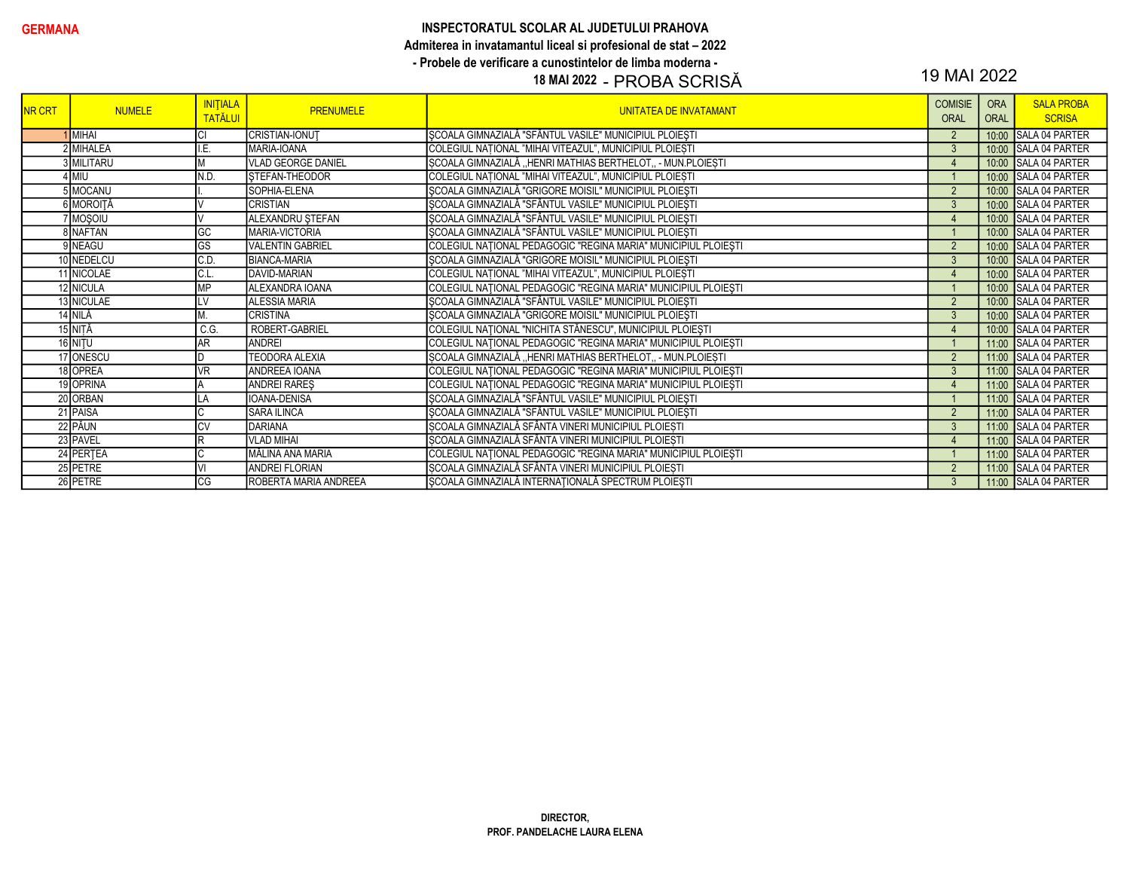#### INSPECTORATUL SCOLAR AL JUDETULUI PRAHOVA Admiterea in invatamantul liceal si profesional de stat - 2022 - Probele de verificare a cunostintelor de limba moderna -

#### 18 MAI 2022 - PROBA SCRISĂ

### 19 MAI 2022

| <b>NR CRT</b> | <b>NUMELE</b> | <b>INITIALA</b><br><b>TATĂLUI</b> | <b>PRENUMELE</b>          | <b>UNITATEA DE INVATAMANT</b>                                  | <b>COMISIE</b><br><b>ORAL</b> | <b>ORA</b><br><b>ORAL</b> | <b>SALA PROBA</b><br><b>SCRISA</b> |
|---------------|---------------|-----------------------------------|---------------------------|----------------------------------------------------------------|-------------------------------|---------------------------|------------------------------------|
|               | <b>IMIHAI</b> |                                   | <b>CRISTIAN-IONUT</b>     | SCOALA GIMNAZIALĂ "SFÂNTUL VASILE" MUNICIPIUL PLOIEȘTI         | $\overline{2}$                |                           | 10:00 SALA 04 PARTER               |
|               | 2 MIHALEA     | .E                                | MARIA-IOANA               | COLEGIUL NATIONAL "MIHAI VITEAZUL", MUNICIPIUL PLOIEȘTI        | $\mathbf{3}$                  | 10:00                     | SALA 04 PARTER                     |
|               | 3 MILITARU    |                                   | <b>VLAD GEORGE DANIEL</b> | ȘCOALA GIMNAZIALĂ "HENRI MATHIAS BERTHELOT,, - MUN.PLOIEȘTI    | $\overline{4}$                |                           | 10:00 SALA 04 PARTER               |
|               | $4$ MIU       | N.D.                              | STEFAN-THEODOR            | COLEGIUL NATIONAL "MIHAI VITEAZUL", MUNICIPIUL PLOIESTI        |                               |                           | 10:00 SALA 04 PARTER               |
|               | 5 MOCANU      |                                   | SOPHIA-ELENA              | SCOALA GIMNAZIALĂ "GRIGORE MOISIL" MUNICIPIUL PLOIESTI         | $\overline{2}$                |                           | 10:00 SALA 04 PARTER               |
|               | 6 MOROITĂ     |                                   | <b>CRISTIAN</b>           | ȘCOALA GIMNAZIALĂ "SFÂNTUL VASILE" MUNICIPIUL PLOIEȘTI         | 3                             |                           | 10:00 SALA 04 PARTER               |
|               | 7 Moşoiu      |                                   | ALEXANDRU ŞTEFAN          | ŞCOALA GIMNAZIALĂ "SFÂNTUL VASILE" MUNICIPIUL PLOIEȘTI         | $\overline{4}$                |                           | 10:00 SALA 04 PARTER               |
|               | 8 NAFTAN      | GC                                | MARIA-VICTORIA            | SCOALA GIMNAZIALĂ "SFÂNTUL VASILE" MUNICIPIUL PLOIESTI         |                               |                           | 10:00 SALA 04 PARTER               |
|               | 9 NEAGU       | GS                                | <b>VALENTIN GABRIEL</b>   | COLEGIUL NAȚIONAL PEDAGOGIC "REGINA MARIA" MUNICIPIUL PLOIEȘTI | $\overline{2}$                |                           | 10:00 SALA 04 PARTER               |
|               | 10 NEDELCU    | IC.D                              | <b>BIANCA-MARIA</b>       | ȘCOALA GIMNAZIALĂ "GRIGORE MOISIL" MUNICIPIUL PLOIEȘTI         | $\mathbf{3}$                  |                           | 10:00 SALA 04 PARTER               |
|               | 11 NICOLAE    | 'C.L.                             | DAVID-MARIAN              | COLEGIUL NAȚIONAL "MIHAI VITEAZUL", MUNICIPIUL PLOIEȘTI        | $\overline{4}$                |                           | 10:00 SALA 04 PARTER               |
|               | 12 NICULA     | MP                                | ALEXANDRA IOANA           | COLEGIUL NAȚIONAL PEDAGOGIC "REGINA MARIA" MUNICIPIUL PLOIEȘTI |                               |                           | 10:00 SALA 04 PARTER               |
|               | 13 NICULAE    |                                   | <b>ALESSIA MARIA</b>      | ȘCOALA GIMNAZIALĂ "SFÂNTUL VASILE" MUNICIPIUL PLOIEȘTI         | $\overline{2}$                |                           | 10:00 SALA 04 PARTER               |
|               | 14 NILĂ       |                                   | <b>CRISTINA</b>           | ȘCOALA GIMNAZIALĂ "GRIGORE MOISIL" MUNICIPIUL PLOIEȘTI         | $\mathbf{3}$                  |                           | 10:00 SALA 04 PARTER               |
|               | 15 NITĂ       | C.G.                              | ROBERT-GABRIEL            | COLEGIUL NAȚIONAL "NICHITA STĂNESCU", MUNICIPIUL PLOIEȘTI      | $\overline{4}$                |                           | 10:00 SALA 04 PARTER               |
|               | 16 NITU       | <b>AR</b>                         | <b>ANDREI</b>             | COLEGIUL NAȚIONAL PEDAGOGIC "REGINA MARIA" MUNICIPIUL PLOIEȘTI |                               |                           | 11:00 SALA 04 PARTER               |
|               | 17 ONESCU     |                                   | <b>TEODORA ALEXIA</b>     | SCOALA GIMNAZIALĂ "HENRI MATHIAS BERTHELOT,, - MUN.PLOIEȘTI    | $\overline{2}$                |                           | 11:00 SALA 04 PARTER               |
|               | 18 OPREA      | VR                                | ANDREEA IOANA             | COLEGIUL NATIONAL PEDAGOGIC "REGINA MARIA" MUNICIPIUL PLOIEȘTI | $\mathbf{3}$                  |                           | 11:00 SALA 04 PARTER               |
|               | 19 OPRINA     |                                   | <b>ANDREI RARES</b>       | COLEGIUL NAȚIONAL PEDAGOGIC "REGINA MARIA" MUNICIPIUL PLOIEȘTI | $\overline{4}$                |                           | 11:00 SALA 04 PARTER               |
|               | 20 ORBAN      |                                   | IOANA-DENISA              | ȘCOALA GIMNAZIALĂ "SFÂNTUL VASILE" MUNICIPIUL PLOIEȘTI         |                               |                           | 11:00 SALA 04 PARTER               |
|               | 21 PAISA      | C                                 | <b>SARA ILINCA</b>        | ȘCOALA GIMNAZIALĂ "SFÂNTUL VASILE" MUNICIPIUL PLOIEȘTI         | $\overline{2}$                |                           | 11:00 SALA 04 PARTER               |
|               | 22 PĂUN       | <b>CV</b>                         | <b>DARIANA</b>            | ȘCOALA GIMNAZIALĂ SFÂNTA VINERI MUNICIPIUL PLOIEȘTI            | $\mathbf{3}$                  |                           | 11:00 SALA 04 PARTER               |
|               | 23 PAVEL      | ΙR                                | <b>VLAD MIHAI</b>         | SCOALA GIMNAZIALĂ SFÂNTA VINERI MUNICIPIUL PLOIEȘTI            | $\overline{4}$                |                           | 11:00 SALA 04 PARTER               |
|               | 24 PERTEA     | IС                                | MĂLINA ANA MARIA          | COLEGIUL NAȚIONAL PEDAGOGIC "REGINA MARIA" MUNICIPIUL PLOIEȘTI |                               |                           | 11:00 SALA 04 PARTER               |
|               | 25 PETRE      |                                   | <b>ANDREI FLORIAN</b>     | SCOALA GIMNAZIALĂ SFÂNTA VINERI MUNICIPIUL PLOIEȘTI            | $\overline{2}$                |                           | 11:00 SALA 04 PARTER               |
|               | 26 PETRE      | CG                                | ROBERTA MARIA ANDREEA     | SCOALA GIMNAZIALĂ INTERNAȚIONALĂ SPECTRUM PLOIESTI             | 3                             |                           | 11:00 SALA 04 PARTER               |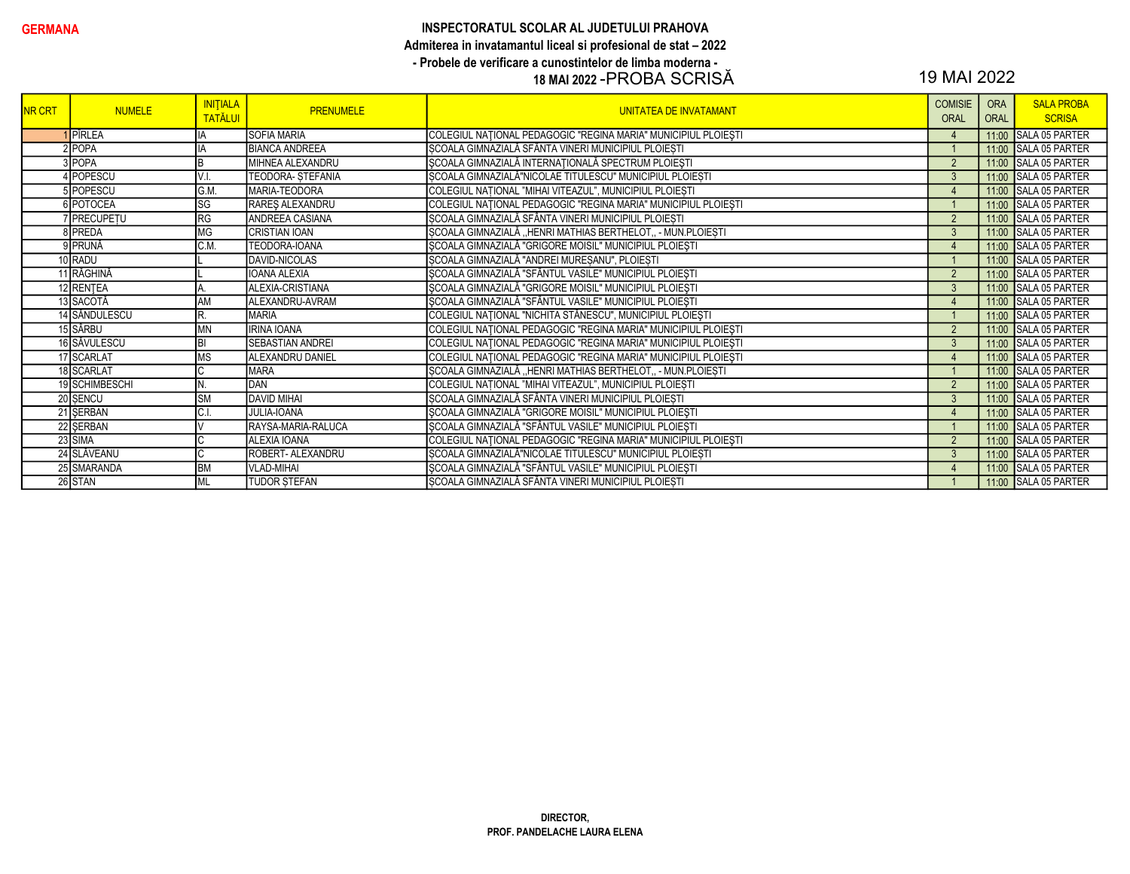#### GERMANA GERMANA INSPECTORATUL SCOLAR AL JUDETULUI PRAHOVA Admiterea in invatamantul liceal si profesional de stat – 2022 - Probele de verificare a cunostintelor de limba moderna - 18 MAI 2022 -PROBA SCRISĂ 19 MAI 2022

| <b>NR CRT</b> | <b>NUMELE</b>   | <b>INITIALA</b><br><b>TATĂLUI</b> | <b>PRENUMELE</b>         | <b>UNITATEA DE INVATAMANT</b>                                  | <b>COMISIE</b><br>ORAL | <b>ORA</b><br><b>ORAL</b> | <b>SALA PROBA</b><br><b>SCRISA</b> |
|---------------|-----------------|-----------------------------------|--------------------------|----------------------------------------------------------------|------------------------|---------------------------|------------------------------------|
|               | <b>I</b> PÎRLEA | ΙA                                | <b>SOFIA MARIA</b>       | COLEGIUL NAȚIONAL PEDAGOGIC "REGINA MARIA" MUNICIPIUL PLOIEȘTI | $\overline{4}$         |                           | 11:00 SALA 05 PARTER               |
|               | $2$ POPA        | İΙA                               | <b>BIANCA ANDREEA</b>    | SCOALA GIMNAZIALĂ SFÂNTA VINERI MUNICIPIUL PLOIEȘTI            |                        |                           | 11:00 SALA 05 PARTER               |
|               | 3POPA           | ΙB                                | MIHNEA ALEXANDRU         | SCOALA GIMNAZIALĂ INTERNAȚIONALĂ SPECTRUM PLOIEȘTI             | $\overline{2}$         |                           | 11:00 SALA 05 PARTER               |
|               | 4 POPESCU       | V.I.                              | <b>TEODORA- STEFANIA</b> | SCOALA GIMNAZIALĂ"NICOLAE TITULESCU" MUNICIPIUL PLOIESTI       | $\mathbf{3}$           |                           | 11:00 SALA 05 PARTER               |
|               | 5 POPESCU       | G.M.                              | MARIA-TEODORA            | COLEGIUL NATIONAL "MIHAI VITEAZUL", MUNICIPIUL PLOIESTI        | $\overline{4}$         |                           | 11:00 SALA 05 PARTER               |
|               | 6 POTOCEA       | <b>SG</b>                         | RAREŞ ALEXANDRU          | COLEGIUL NAȚIONAL PEDAGOGIC "REGINA MARIA" MUNICIPIUL PLOIEȘTI |                        |                           | 11:00 SALA 05 PARTER               |
|               | 7 PRECUPETU     | RG                                | ANDREEA CASIANA          | ȘCOALA GIMNAZIALĂ SFÂNTA VINERI MUNICIPIUL PLOIEȘTI            | $\overline{2}$         |                           | 11:00 SALA 05 PARTER               |
|               | 8 PREDA         | MG                                | <b>CRISTIAN IOAN</b>     | SCOALA GIMNAZIALĂ "HENRI MATHIAS BERTHELOT, - MUN.PLOIESTI     | 3                      |                           | 11:00 SALA 05 PARTER               |
|               | 9 PRUNĂ         | C.M                               | TEODORA-IOANA            | ȘCOALA GIMNAZIALĂ "GRIGORE MOISIL" MUNICIPIUL PLOIEȘTI         | $\overline{4}$         |                           | 11:00 SALA 05 PARTER               |
|               | 10 RADU         |                                   | DAVID-NICOLAS            | ȘCOALA GIMNAZIALĂ "ANDREI MUREȘANU", PLOIEȘTI                  |                        |                           | 11:00 SALA 05 PARTER               |
|               | 11 RĂGHINĂ      |                                   | <b>IOANA ALEXIA</b>      | ȘCOALA GIMNAZIALĂ "SFÂNTUL VASILE" MUNICIPIUL PLOIEȘTI         | $\overline{2}$         |                           | 11:00 SALA 05 PARTER               |
|               | 12 RENTEA       |                                   | ALEXIA-CRISTIANA         | ȘCOALA GIMNAZIALĂ "GRIGORE MOISIL" MUNICIPIUL PLOIEȘTI         | $\mathbf{3}$           |                           | 11:00 SALA 05 PARTER               |
|               | 13 SACOTĂ       | <b>AM</b>                         | ALEXANDRU-AVRAM          | ȘCOALA GIMNAZIALĂ "SFÂNTUL VASILE" MUNICIPIUL PLOIEȘTI         | $\overline{4}$         |                           | 11:00 SALA 05 PARTER               |
|               | 14 SĂNDULESCU   | R.                                | <b>MARIA</b>             | COLEGIUL NAȚIONAL "NICHITA STĂNESCU", MUNICIPIUL PLOIEȘTI      |                        |                           | 11:00 SALA 05 PARTER               |
|               | 15 SÂRBU        | <b>MN</b>                         | <b>IRINA IOANA</b>       | COLEGIUL NAȚIONAL PEDAGOGIC "REGINA MARIA" MUNICIPIUL PLOIEȘTI | $\overline{2}$         |                           | 11:00 SALA 05 PARTER               |
|               | 16 SĂVULESCU    | B                                 | SEBASTIAN ANDREI         | COLEGIUL NAȚIONAL PEDAGOGIC "REGINA MARIA" MUNICIPIUL PLOIEȘTI | 3                      |                           | 11:00 SALA 05 PARTER               |
|               | 17 SCARLAT      | <b>MS</b>                         | ALEXANDRU DANIEL         | COLEGIUL NAȚIONAL PEDAGOGIC "REGINA MARIA" MUNICIPIUL PLOIEȘTI | $\overline{4}$         |                           | 11:00 SALA 05 PARTER               |
|               | 18 SCARLAT      | ΙC                                | <b>MARA</b>              | SCOALA GIMNAZIALĂ "HENRI MATHIAS BERTHELOT,, - MUN.PLOIESTI    |                        |                           | 11:00 SALA 05 PARTER               |
|               | 19 SCHIMBESCHI  | IN.                               | DAN                      | COLEGIUL NATIONAL "MIHAI VITEAZUL", MUNICIPIUL PLOIEȘTI        | $\overline{2}$         |                           | 11:00 SALA 05 PARTER               |
|               | 20 SENCU        | <b>SM</b>                         | <b>DAVID MIHAI</b>       | ȘCOALA GIMNAZIALĂ SFÂNTA VINERI MUNICIPIUL PLOIEȘTI            | $\mathbf{3}$           |                           | 11:00 SALA 05 PARTER               |
|               | 21 SERBAN       | C.I                               | JULIA-IOANA              | ȘCOALA GIMNAZIALĂ "GRIGORE MOISIL" MUNICIPIUL PLOIEȘTI         | $\overline{4}$         |                           | 11:00 SALA 05 PARTER               |
|               | 22 SERBAN       |                                   | RAYSA-MARIA-RALUCA       | ŞCOALA GIMNAZIALĂ "SFÂNTUL VASILE" MUNICIPIUL PLOIEȘTI         |                        |                           | 11:00 SALA 05 PARTER               |
|               | 23 SIMA         | ΙC                                | <b>ALEXIA IOANA</b>      | COLEGIUL NAȚIONAL PEDAGOGIC "REGINA MARIA" MUNICIPIUL PLOIEȘTI | $\overline{2}$         |                           | 11:00 SALA 05 PARTER               |
|               | 24 SLĂVEANU     | Iс                                | ROBERT- ALEXANDRU        | ȘCOALA GIMNAZIALĂ"NICOLAE TITULESCU" MUNICIPIUL PLOIEȘTI       | $\mathbf{3}$           |                           | 11:00 SALA 05 PARTER               |
|               | 25 SMARANDA     | <b>BM</b>                         | <b>VLAD-MIHAI</b>        | SCOALA GIMNAZIALĂ "SFÂNTUL VASILE" MUNICIPIUL PLOIEȘTI         | $\overline{4}$         |                           | 11:00 SALA 05 PARTER               |
|               | 26 STAN         | <b>ML</b>                         | <b>TUDOR STEFAN</b>      | SCOALA GIMNAZIALĂ SFÂNTA VINERI MUNICIPIUL PLOIESTI            |                        |                           | 11:00 SALA 05 PARTER               |